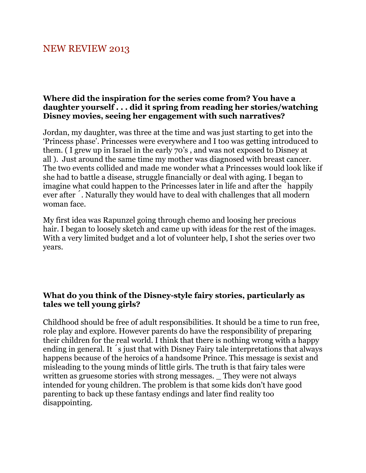## NEW REVIEW 2013

#### **Where did the inspiration for the series come from? You have a daughter yourself . . . did it spring from reading her stories/watching Disney movies, seeing her engagement with such narratives?**

Jordan, my daughter, was three at the time and was just starting to get into the 'Princess phase'. Princesses were everywhere and I too was getting introduced to them. ( I grew up in Israel in the early 70's , and was not exposed to Disney at all ). Just around the same time my mother was diagnosed with breast cancer. The two events collided and made me wonder what a Princesses would look like if she had to battle a disease, struggle financially or deal with aging. I began to imagine what could happen to the Princesses later in life and after the ́happily ever after ́. Naturally they would have to deal with challenges that all modern woman face.

My first idea was Rapunzel going through chemo and loosing her precious hair. I began to loosely sketch and came up with ideas for the rest of the images. With a very limited budget and a lot of volunteer help, I shot the series over two years.

#### **What do you think of the Disney-style fairy stories, particularly as tales we tell young girls?**

Childhood should be free of adult responsibilities. It should be a time to run free, role play and explore. However parents do have the responsibility of preparing their children for the real world. I think that there is nothing wrong with a happy ending in general. It s just that with Disney Fairy tale interpretations that always happens because of the heroics of a handsome Prince. This message is sexist and misleading to the young minds of little girls. The truth is that fairy tales were written as gruesome stories with strong messages. They were not always intended for young children. The problem is that some kids don't have good parenting to back up these fantasy endings and later find reality too disappointing.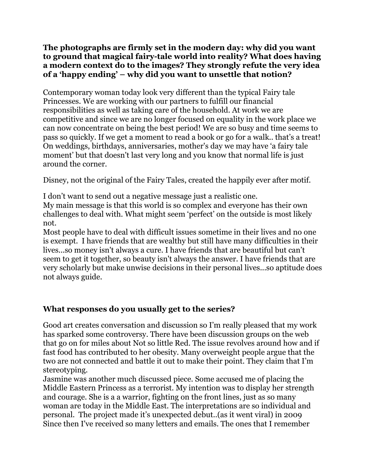#### **The photographs are firmly set in the modern day: why did you want to ground that magical fairy-tale world into reality? What does having a modern context do to the images? They strongly refute the very idea of a 'happy ending' – why did you want to unsettle that notion?**

Contemporary woman today look very different than the typical Fairy tale Princesses. We are working with our partners to fulfill our financial responsibilities as well as taking care of the household. At work we are competitive and since we are no longer focused on equality in the work place we can now concentrate on being the best period! We are so busy and time seems to pass so quickly. If we get a moment to read a book or go for a walk.. that's a treat! On weddings, birthdays, anniversaries, mother's day we may have 'a fairy tale moment' but that doesn't last very long and you know that normal life is just around the corner.

Disney, not the original of the Fairy Tales, created the happily ever after motif.

I don't want to send out a negative message just a realistic one.

My main message is that this world is so complex and everyone has their own challenges to deal with. What might seem 'perfect' on the outside is most likely not.

Most people have to deal with difficult issues sometime in their lives and no one is exempt. I have friends that are wealthy but still have many difficulties in their lives...so money isn't always a cure. I have friends that are beautiful but can't seem to get it together, so beauty isn't always the answer. I have friends that are very scholarly but make unwise decisions in their personal lives...so aptitude does not always guide.

## **What responses do you usually get to the series?**

Good art creates conversation and discussion so I'm really pleased that my work has sparked some controversy. There have been discussion groups on the web that go on for miles about Not so little Red. The issue revolves around how and if fast food has contributed to her obesity. Many overweight people argue that the two are not connected and battle it out to make their point. They claim that I'm stereotyping.

Jasmine was another much discussed piece. Some accused me of placing the Middle Eastern Princess as a terrorist. My intention was to display her strength and courage. She is a a warrior, fighting on the front lines, just as so many woman are today in the Middle East. The interpretations are so individual and personal. The project made it's unexpected debut..(as it went viral) in 2009 Since then I've received so many letters and emails. The ones that I remember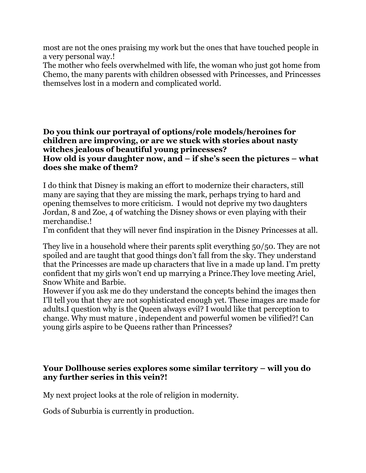most are not the ones praising my work but the ones that have touched people in a very personal way.!

The mother who feels overwhelmed with life, the woman who just got home from Chemo, the many parents with children obsessed with Princesses, and Princesses themselves lost in a modern and complicated world.

#### **Do you think our portrayal of options/role models/heroines for children are improving, or are we stuck with stories about nasty witches jealous of beautiful young princesses? How old is your daughter now, and – if she's seen the pictures – what does she make of them?**

I do think that Disney is making an effort to modernize their characters, still many are saying that they are missing the mark, perhaps trying to hard and opening themselves to more criticism. I would not deprive my two daughters Jordan, 8 and Zoe, 4 of watching the Disney shows or even playing with their merchandise.!

I'm confident that they will never find inspiration in the Disney Princesses at all.

They live in a household where their parents split everything 50/50. They are not spoiled and are taught that good things don't fall from the sky. They understand that the Princesses are made up characters that live in a made up land. I'm pretty confident that my girls won't end up marrying a Prince.They love meeting Ariel, Snow White and Barbie.

However if you ask me do they understand the concepts behind the images then I'll tell you that they are not sophisticated enough yet. These images are made for adults.I question why is the Queen always evil? I would like that perception to change. Why must mature , independent and powerful women be vilified?! Can young girls aspire to be Queens rather than Princesses?

#### **Your Dollhouse series explores some similar territory – will you do any further series in this vein?!**

My next project looks at the role of religion in modernity.

Gods of Suburbia is currently in production.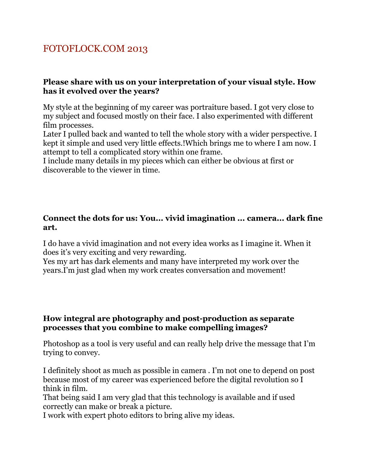# FOTOFLOCK.COM 2013

#### **Please share with us on your interpretation of your visual style. How has it evolved over the years?**

My style at the beginning of my career was portraiture based. I got very close to my subject and focused mostly on their face. I also experimented with different film processes.

Later I pulled back and wanted to tell the whole story with a wider perspective. I kept it simple and used very little effects.!Which brings me to where I am now. I attempt to tell a complicated story within one frame.

I include many details in my pieces which can either be obvious at first or discoverable to the viewer in time.

#### **Connect the dots for us: You... vivid imagination ... camera... dark fine art.**

I do have a vivid imagination and not every idea works as I imagine it. When it does it's very exciting and very rewarding.

Yes my art has dark elements and many have interpreted my work over the years.I'm just glad when my work creates conversation and movement!

#### **How integral are photography and post-production as separate processes that you combine to make compelling images?**

Photoshop as a tool is very useful and can really help drive the message that I'm trying to convey.

I definitely shoot as much as possible in camera . I'm not one to depend on post because most of my career was experienced before the digital revolution so I think in film.

That being said I am very glad that this technology is available and if used correctly can make or break a picture.

I work with expert photo editors to bring alive my ideas.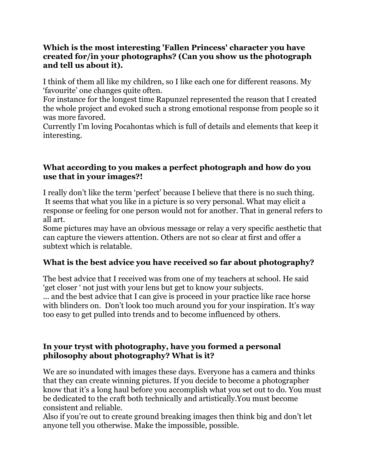### **Which is the most interesting 'Fallen Princess' character you have created for/in your photographs? (Can you show us the photograph and tell us about it).**

I think of them all like my children, so I like each one for different reasons. My 'favourite' one changes quite often.

For instance for the longest time Rapunzel represented the reason that I created the whole project and evoked such a strong emotional response from people so it was more favored.

Currently I'm loving Pocahontas which is full of details and elements that keep it interesting.

### **What according to you makes a perfect photograph and how do you use that in your images?!**

I really don't like the term 'perfect' because I believe that there is no such thing. It seems that what you like in a picture is so very personal. What may elicit a response or feeling for one person would not for another. That in general refers to all art.

Some pictures may have an obvious message or relay a very specific aesthetic that can capture the viewers attention. Others are not so clear at first and offer a subtext which is relatable.

## **What is the best advice you have received so far about photography?**

The best advice that I received was from one of my teachers at school. He said 'get closer ' not just with your lens but get to know your subjects. ... and the best advice that I can give is proceed in your practice like race horse with blinders on. Don't look too much around you for your inspiration. It's way too easy to get pulled into trends and to become influenced by others.

## **In your tryst with photography, have you formed a personal philosophy about photography? What is it?**

We are so inundated with images these days. Everyone has a camera and thinks that they can create winning pictures. If you decide to become a photographer know that it's a long haul before you accomplish what you set out to do. You must be dedicated to the craft both technically and artistically.You must become consistent and reliable.

Also if you're out to create ground breaking images then think big and don't let anyone tell you otherwise. Make the impossible, possible.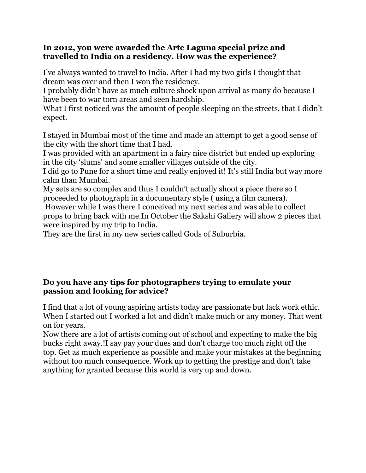#### **In 2012, you were awarded the Arte Laguna special prize and travelled to India on a residency. How was the experience?**

I've always wanted to travel to India. After I had my two girls I thought that dream was over and then I won the residency.

I probably didn't have as much culture shock upon arrival as many do because I have been to war torn areas and seen hardship.

What I first noticed was the amount of people sleeping on the streets, that I didn't expect.

I stayed in Mumbai most of the time and made an attempt to get a good sense of the city with the short time that I had.

I was provided with an apartment in a fairy nice district but ended up exploring in the city 'slums' and some smaller villages outside of the city.

I did go to Pune for a short time and really enjoyed it! It's still India but way more calm than Mumbai.

My sets are so complex and thus I couldn't actually shoot a piece there so I proceeded to photograph in a documentary style ( using a film camera).

 However while I was there I conceived my next series and was able to collect props to bring back with me.In October the Sakshi Gallery will show 2 pieces that were inspired by my trip to India.

They are the first in my new series called Gods of Suburbia.

## **Do you have any tips for photographers trying to emulate your passion and looking for advice?**

I find that a lot of young aspiring artists today are passionate but lack work ethic. When I started out I worked a lot and didn't make much or any money. That went on for years.

Now there are a lot of artists coming out of school and expecting to make the big bucks right away.!I say pay your dues and don't charge too much right off the top. Get as much experience as possible and make your mistakes at the beginning without too much consequence. Work up to getting the prestige and don't take anything for granted because this world is very up and down.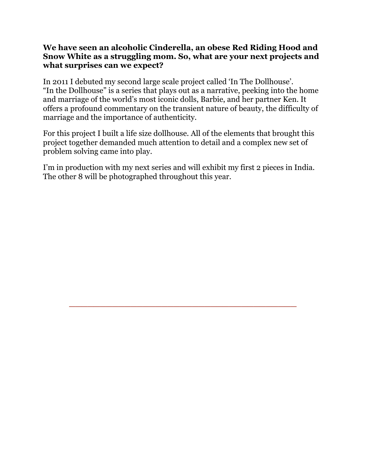#### **We have seen an alcoholic Cinderella, an obese Red Riding Hood and Snow White as a struggling mom. So, what are your next projects and what surprises can we expect?**

In 2011 I debuted my second large scale project called 'In The Dollhouse'. "In the Dollhouse" is a series that plays out as a narrative, peeking into the home and marriage of the world's most iconic dolls, Barbie, and her partner Ken. It offers a profound commentary on the transient nature of beauty, the difficulty of marriage and the importance of authenticity.

For this project I built a life size dollhouse. All of the elements that brought this project together demanded much attention to detail and a complex new set of problem solving came into play.

I'm in production with my next series and will exhibit my first 2 pieces in India. The other 8 will be photographed throughout this year.

\_\_\_\_\_\_\_\_\_\_\_\_\_\_\_\_\_\_\_\_\_\_\_\_\_\_\_\_\_\_\_\_\_\_\_\_\_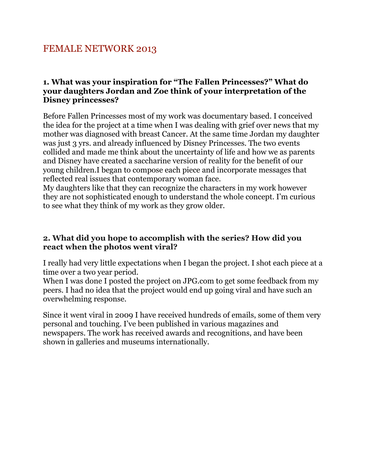# FEMALE NETWORK 2013

#### **1. What was your inspiration for "The Fallen Princesses?" What do your daughters Jordan and Zoe think of your interpretation of the Disney princesses?**

Before Fallen Princesses most of my work was documentary based. I conceived the idea for the project at a time when I was dealing with grief over news that my mother was diagnosed with breast Cancer. At the same time Jordan my daughter was just 3 yrs. and already influenced by Disney Princesses. The two events collided and made me think about the uncertainty of life and how we as parents and Disney have created a saccharine version of reality for the benefit of our young children.I began to compose each piece and incorporate messages that reflected real issues that contemporary woman face.

My daughters like that they can recognize the characters in my work however they are not sophisticated enough to understand the whole concept. I'm curious to see what they think of my work as they grow older.

#### **2. What did you hope to accomplish with the series? How did you react when the photos went viral?**

I really had very little expectations when I began the project. I shot each piece at a time over a two year period.

When I was done I posted the project on JPG.com to get some feedback from my peers. I had no idea that the project would end up going viral and have such an overwhelming response.

Since it went viral in 2009 I have received hundreds of emails, some of them very personal and touching. I've been published in various magazines and newspapers. The work has received awards and recognitions, and have been shown in galleries and museums internationally.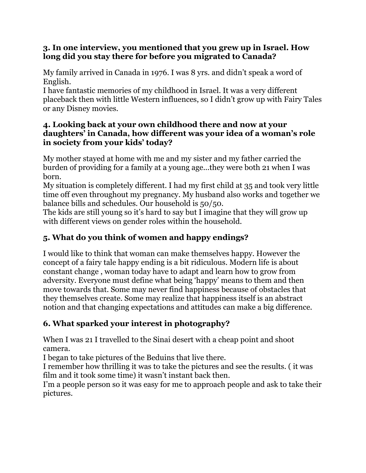## **3. In one interview, you mentioned that you grew up in Israel. How long did you stay there for before you migrated to Canada?**

My family arrived in Canada in 1976. I was 8 yrs. and didn't speak a word of English.

I have fantastic memories of my childhood in Israel. It was a very different placeback then with little Western influences, so I didn't grow up with Fairy Tales or any Disney movies.

## **4. Looking back at your own childhood there and now at your daughters' in Canada, how different was your idea of a woman's role in society from your kids' today?**

My mother stayed at home with me and my sister and my father carried the burden of providing for a family at a young age...they were both 21 when I was born.

My situation is completely different. I had my first child at 35 and took very little time off even throughout my pregnancy. My husband also works and together we balance bills and schedules. Our household is 50/50.

The kids are still young so it's hard to say but I imagine that they will grow up with different views on gender roles within the household.

## **5. What do you think of women and happy endings?**

I would like to think that woman can make themselves happy. However the concept of a fairy tale happy ending is a bit ridiculous. Modern life is about constant change , woman today have to adapt and learn how to grow from adversity. Everyone must define what being 'happy' means to them and then move towards that. Some may never find happiness because of obstacles that they themselves create. Some may realize that happiness itself is an abstract notion and that changing expectations and attitudes can make a big difference.

## **6. What sparked your interest in photography?**

When I was 21 I travelled to the Sinai desert with a cheap point and shoot camera.

I began to take pictures of the Beduins that live there.

I remember how thrilling it was to take the pictures and see the results. ( it was film and it took some time) it wasn't instant back then.

I'm a people person so it was easy for me to approach people and ask to take their pictures.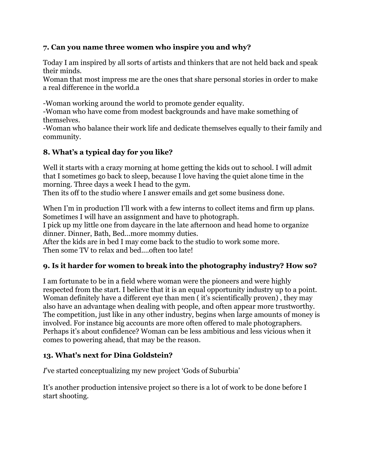#### **7. Can you name three women who inspire you and why?**

Today I am inspired by all sorts of artists and thinkers that are not held back and speak their minds.

Woman that most impress me are the ones that share personal stories in order to make a real difference in the world.a

-Woman working around the world to promote gender equality.

-Woman who have come from modest backgrounds and have make something of themselves.

-Woman who balance their work life and dedicate themselves equally to their family and community.

#### **8. What's a typical day for you like?**

Well it starts with a crazy morning at home getting the kids out to school. I will admit that I sometimes go back to sleep, because I love having the quiet alone time in the morning. Three days a week I head to the gym.

Then its off to the studio where I answer emails and get some business done.

When I'm in production I'll work with a few interns to collect items and firm up plans. Sometimes I will have an assignment and have to photograph.

I pick up my little one from daycare in the late afternoon and head home to organize dinner. Dinner, Bath, Bed...more mommy duties.

After the kids are in bed I may come back to the studio to work some more. Then some TV to relax and bed....often too late!

#### **9. Is it harder for women to break into the photography industry? How so?**

I am fortunate to be in a field where woman were the pioneers and were highly respected from the start. I believe that it is an equal opportunity industry up to a point. Woman definitely have a different eye than men ( it's scientifically proven) , they may also have an advantage when dealing with people, and often appear more trustworthy. The competition, just like in any other industry, begins when large amounts of money is involved. For instance big accounts are more often offered to male photographers. Perhaps it's about confidence? Woman can be less ambitious and less vicious when it comes to powering ahead, that may be the reason.

#### **13. What's next for Dina Goldstein?**

*I*'ve started conceptualizing my new project 'Gods of Suburbia'

It's another production intensive project so there is a lot of work to be done before I start shooting.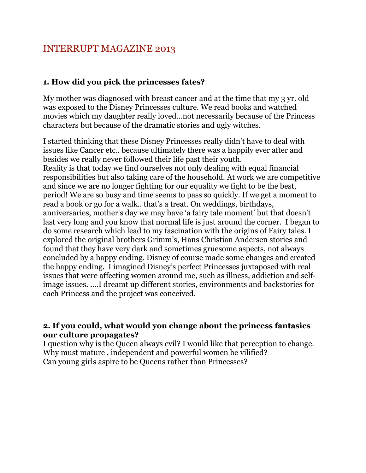# INTERRUPT MAGAZINE 2013

#### **1. How did you pick the princesses fates?**

My mother was diagnosed with breast cancer and at the time that my 3 yr. old was exposed to the Disney Princesses culture. We read books and watched movies which my daughter really loved...not necessarily because of the Princess characters but because of the dramatic stories and ugly witches.

I started thinking that these Disney Princesses really didn't have to deal with issues like Cancer etc.. because ultimately there was a happily ever after and besides we really never followed their life past their youth. Reality is that today we find ourselves not only dealing with equal financial responsibilities but also taking care of the household. At work we are competitive and since we are no longer fighting for our equality we fight to be the best, period! We are so busy and time seems to pass so quickly. If we get a moment to read a book or go for a walk.. that's a treat. On weddings, birthdays, anniversaries, mother's day we may have 'a fairy tale moment' but that doesn't last very long and you know that normal life is just around the corner. I began to do some research which lead to my fascination with the origins of Fairy tales. I explored the original brothers Grimm's, Hans Christian Andersen stories and found that they have very dark and sometimes gruesome aspects, not always concluded by a happy ending. Disney of course made some changes and created the happy ending. I imagined Disney's perfect Princesses juxtaposed with real issues that were affecting women around me, such as illness, addiction and selfimage issues. ....I dreamt up different stories, environments and backstories for each Princess and the project was conceived.

#### **2. If you could, what would you change about the princess fantasies our culture propagates?**

I question why is the Queen always evil? I would like that perception to change. Why must mature , independent and powerful women be vilified? Can young girls aspire to be Queens rather than Princesses?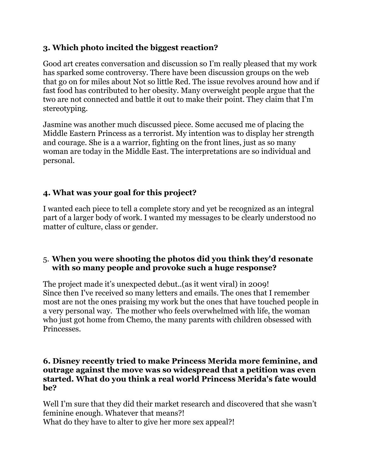## **3. Which photo incited the biggest reaction?**

Good art creates conversation and discussion so I'm really pleased that my work has sparked some controversy. There have been discussion groups on the web that go on for miles about Not so little Red. The issue revolves around how and if fast food has contributed to her obesity. Many overweight people argue that the two are not connected and battle it out to make their point. They claim that I'm stereotyping.

Jasmine was another much discussed piece. Some accused me of placing the Middle Eastern Princess as a terrorist. My intention was to display her strength and courage. She is a a warrior, fighting on the front lines, just as so many woman are today in the Middle East. The interpretations are so individual and personal.

## **4. What was your goal for this project?**

I wanted each piece to tell a complete story and yet be recognized as an integral part of a larger body of work. I wanted my messages to be clearly understood no matter of culture, class or gender.

## 5. **When you were shooting the photos did you think they'd resonate with so many people and provoke such a huge response?**

The project made it's unexpected debut..(as it went viral) in 2009! Since then I've received so many letters and emails. The ones that I remember most are not the ones praising my work but the ones that have touched people in a very personal way. The mother who feels overwhelmed with life, the woman who just got home from Chemo, the many parents with children obsessed with Princesses.

#### **6. Disney recently tried to make Princess Merida more feminine, and outrage against the move was so widespread that a petition was even started. What do you think a real world Princess Merida's fate would be?**

Well I'm sure that they did their market research and discovered that she wasn't feminine enough. Whatever that means?! What do they have to alter to give her more sex appeal?!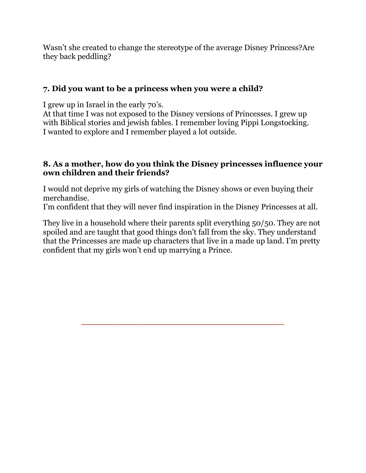Wasn't she created to change the stereotype of the average Disney Princess?Are they back peddling?

## **7. Did you want to be a princess when you were a child?**

I grew up in Israel in the early 70's.

At that time I was not exposed to the Disney versions of Princesses. I grew up with Biblical stories and jewish fables. I remember loving Pippi Longstocking. I wanted to explore and I remember played a lot outside.

### **8. As a mother, how do you think the Disney princesses influence your own children and their friends?**

I would not deprive my girls of watching the Disney shows or even buying their merchandise.

I'm confident that they will never find inspiration in the Disney Princesses at all.

They live in a household where their parents split everything 50/50. They are not spoiled and are taught that good things don't fall from the sky. They understand that the Princesses are made up characters that live in a made up land. I'm pretty confident that my girls won't end up marrying a Prince.

\_\_\_\_\_\_\_\_\_\_\_\_\_\_\_\_\_\_\_\_\_\_\_\_\_\_\_\_\_\_\_\_\_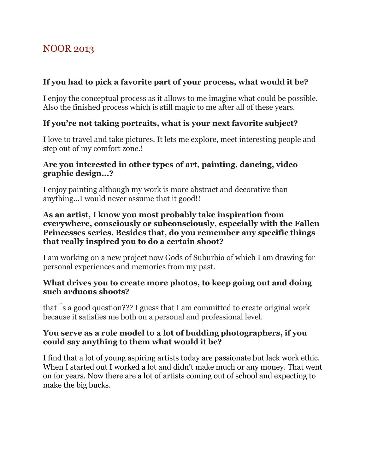# NOOR 2013

## **If you had to pick a favorite part of your process, what would it be?**

I enjoy the conceptual process as it allows to me imagine what could be possible. Also the finished process which is still magic to me after all of these years.

## **If you're not taking portraits, what is your next favorite subject?**

I love to travel and take pictures. It lets me explore, meet interesting people and step out of my comfort zone.!

### **Are you interested in other types of art, painting, dancing, video graphic design...?**

I enjoy painting although my work is more abstract and decorative than anything...I would never assume that it good!!

#### **As an artist, I know you most probably take inspiration from everywhere, consciously or subconsciously, especially with the Fallen Princesses series. Besides that, do you remember any specific things that really inspired you to do a certain shoot?**

I am working on a new project now Gods of Suburbia of which I am drawing for personal experiences and memories from my past.

#### **What drives you to create more photos, to keep going out and doing such arduous shoots?**

that ́s a good question??? I guess that I am committed to create original work because it satisfies me both on a personal and professional level.

## **You serve as a role model to a lot of budding photographers, if you could say anything to them what would it be?**

I find that a lot of young aspiring artists today are passionate but lack work ethic. When I started out I worked a lot and didn't make much or any money. That went on for years. Now there are a lot of artists coming out of school and expecting to make the big bucks.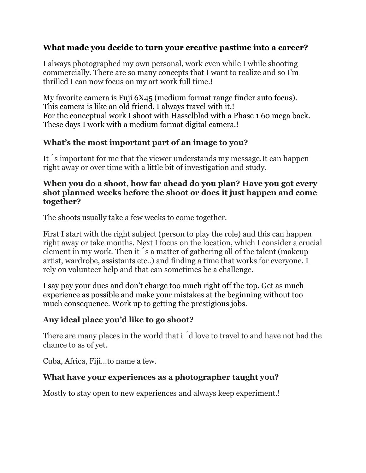## **What made you decide to turn your creative pastime into a career?**

I always photographed my own personal, work even while I while shooting commercially. There are so many concepts that I want to realize and so I'm thrilled I can now focus on my art work full time.!

My favorite camera is Fuji 6X45 (medium format range finder auto focus). This camera is like an old friend. I always travel with it.! For the conceptual work I shoot with Hasselblad with a Phase 1 60 mega back. These days I work with a medium format digital camera.!

## **What's the most important part of an image to you?**

It ́s important for me that the viewer understands my message.It can happen right away or over time with a little bit of investigation and study.

#### **When you do a shoot, how far ahead do you plan? Have you got every shot planned weeks before the shoot or does it just happen and come together?**

The shoots usually take a few weeks to come together.

First I start with the right subject (person to play the role) and this can happen right away or take months. Next I focus on the location, which I consider a crucial element in my work. Then it ́s a matter of gathering all of the talent (makeup artist, wardrobe, assistants etc..) and finding a time that works for everyone. I rely on volunteer help and that can sometimes be a challenge.

I say pay your dues and don't charge too much right off the top. Get as much experience as possible and make your mistakes at the beginning without too much consequence. Work up to getting the prestigious jobs.

## **Any ideal place you'd like to go shoot?**

There are many places in the world that i  $\acute{\text{d}}$  love to travel to and have not had the chance to as of yet.

Cuba, Africa, Fiji...to name a few.

## **What have your experiences as a photographer taught you?**

Mostly to stay open to new experiences and always keep experiment.!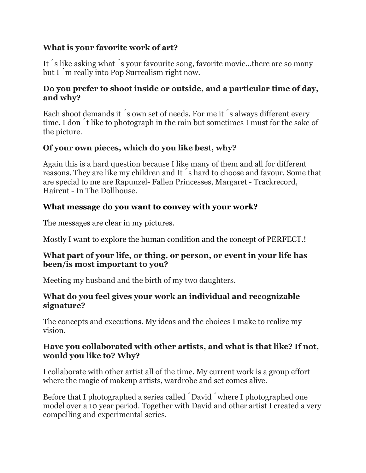## **What is your favorite work of art?**

It ́s like asking what ́s your favourite song, favorite movie...there are so many but I ́m really into Pop Surrealism right now.

## **Do you prefer to shoot inside or outside, and a particular time of day, and why?**

Each shoot demands it s own set of needs. For me it s always different every time. I don ́t like to photograph in the rain but sometimes I must for the sake of the picture.

## **Of your own pieces, which do you like best, why?**

Again this is a hard question because I like many of them and all for different reasons. They are like my children and It ́s hard to choose and favour. Some that are special to me are Rapunzel- Fallen Princesses, Margaret - Trackrecord, Haircut - In The Dollhouse.

## **What message do you want to convey with your work?**

The messages are clear in my pictures.

Mostly I want to explore the human condition and the concept of PERFECT.!

#### **What part of your life, or thing, or person, or event in your life has been/is most important to you?**

Meeting my husband and the birth of my two daughters.

## **What do you feel gives your work an individual and recognizable signature?**

The concepts and executions. My ideas and the choices I make to realize my vision.

## **Have you collaborated with other artists, and what is that like? If not, would you like to? Why?**

I collaborate with other artist all of the time. My current work is a group effort where the magic of makeup artists, wardrobe and set comes alive.

Before that I photographed a series called David  $\check{\ }$  where I photographed one model over a 10 year period. Together with David and other artist I created a very compelling and experimental series.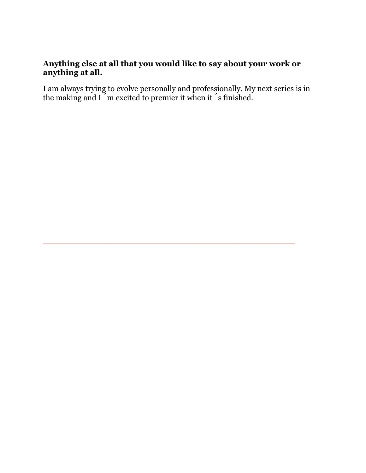## **Anything else at all that you would like to say about your work or anything at all.**

I am always trying to evolve personally and professionally. My next series is in the making and I ́m excited to premier it when it ́s finished.

 $\overline{\phantom{a}}$  , and the contract of the contract of the contract of the contract of the contract of the contract of the contract of the contract of the contract of the contract of the contract of the contract of the contrac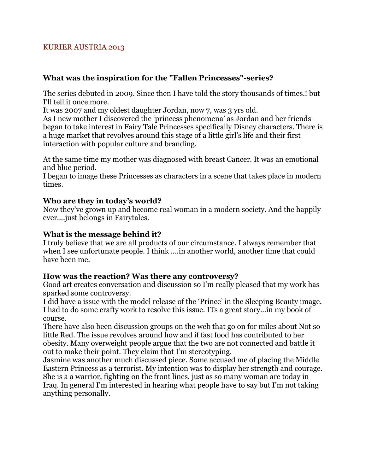#### KURIER AUSTRIA 2013

#### **What was the inspiration for the "Fallen Princesses"-series?**

The series debuted in 2009. Since then I have told the story thousands of times.! but I'll tell it once more.

It was 2007 and my oldest daughter Jordan, now 7, was 3 yrs old.

As I new mother I discovered the 'princess phenomena' as Jordan and her friends began to take interest in Fairy Tale Princesses specifically Disney characters. There is a huge market that revolves around this stage of a little girl's life and their first interaction with popular culture and branding.

At the same time my mother was diagnosed with breast Cancer. It was an emotional and blue period.

I began to image these Princesses as characters in a scene that takes place in modern times.

#### **Who are they in today's world?**

Now they've grown up and become real woman in a modern society. And the happily ever....just belongs in Fairytales.

#### **What is the message behind it?**

I truly believe that we are all products of our circumstance. I always remember that when I see unfortunate people. I think ....in another world, another time that could have been me.

#### **How was the reaction? Was there any controversy?**

Good art creates conversation and discussion so I'm really pleased that my work has sparked some controversy.

I did have a issue with the model release of the 'Prince' in the Sleeping Beauty image. I had to do some crafty work to resolve this issue. ITs a great story...in my book of course.

There have also been discussion groups on the web that go on for miles about Not so little Red. The issue revolves around how and if fast food has contributed to her obesity. Many overweight people argue that the two are not connected and battle it out to make their point. They claim that I'm stereotyping.

Jasmine was another much discussed piece. Some accused me of placing the Middle Eastern Princess as a terrorist. My intention was to display her strength and courage. She is a a warrior, fighting on the front lines, just as so many woman are today in Iraq. In general I'm interested in hearing what people have to say but I'm not taking anything personally.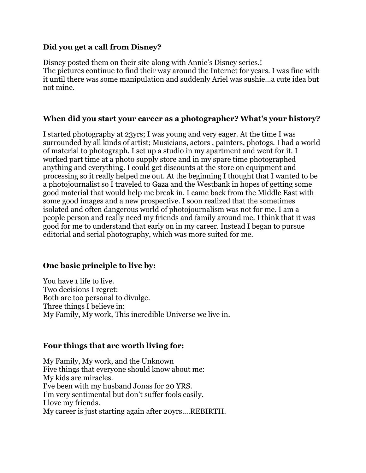#### **Did you get a call from Disney?**

Disney posted them on their site along with Annie's Disney series.! The pictures continue to find their way around the Internet for years. I was fine with it until there was some manipulation and suddenly Ariel was sushie...a cute idea but not mine.

#### **When did you start your career as a photographer? What's your history?**

I started photography at 23yrs; I was young and very eager. At the time I was surrounded by all kinds of artist; Musicians, actors , painters, photogs. I had a world of material to photograph. I set up a studio in my apartment and went for it. I worked part time at a photo supply store and in my spare time photographed anything and everything. I could get discounts at the store on equipment and processing so it really helped me out. At the beginning I thought that I wanted to be a photojournalist so I traveled to Gaza and the Westbank in hopes of getting some good material that would help me break in. I came back from the Middle East with some good images and a new prospective. I soon realized that the sometimes isolated and often dangerous world of photojournalism was not for me. I am a people person and really need my friends and family around me. I think that it was good for me to understand that early on in my career. Instead I began to pursue editorial and serial photography, which was more suited for me.

#### **One basic principle to live by:**

You have 1 life to live. Two decisions I regret: Both are too personal to divulge. Three things I believe in: My Family, My work, This incredible Universe we live in.

#### **Four things that are worth living for:**

My Family, My work, and the Unknown Five things that everyone should know about me: My kids are miracles. I've been with my husband Jonas for 20 YRS. I'm very sentimental but don't suffer fools easily. I love my friends. My career is just starting again after 20yrs....REBIRTH.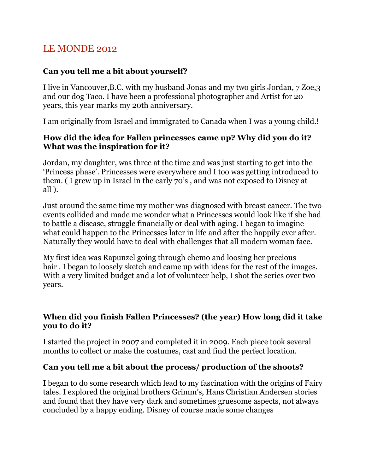# LE MONDE 2012

## **Can you tell me a bit about yourself?**

I live in Vancouver,B.C. with my husband Jonas and my two girls Jordan, 7 Zoe,3 and our dog Taco. I have been a professional photographer and Artist for 20 years, this year marks my 20th anniversary.

I am originally from Israel and immigrated to Canada when I was a young child.!

## **How did the idea for Fallen princesses came up? Why did you do it? What was the inspiration for it?**

Jordan, my daughter, was three at the time and was just starting to get into the 'Princess phase'. Princesses were everywhere and I too was getting introduced to them. ( I grew up in Israel in the early 70's , and was not exposed to Disney at all ).

Just around the same time my mother was diagnosed with breast cancer. The two events collided and made me wonder what a Princesses would look like if she had to battle a disease, struggle financially or deal with aging. I began to imagine what could happen to the Princesses later in life and after the happily ever after. Naturally they would have to deal with challenges that all modern woman face.

My first idea was Rapunzel going through chemo and loosing her precious hair . I began to loosely sketch and came up with ideas for the rest of the images. With a very limited budget and a lot of volunteer help, I shot the series over two years.

## **When did you finish Fallen Princesses? (the year) How long did it take you to do it?**

I started the project in 2007 and completed it in 2009. Each piece took several months to collect or make the costumes, cast and find the perfect location.

## **Can you tell me a bit about the process/ production of the shoots?**

I began to do some research which lead to my fascination with the origins of Fairy tales. I explored the original brothers Grimm's, Hans Christian Andersen stories and found that they have very dark and sometimes gruesome aspects, not always concluded by a happy ending. Disney of course made some changes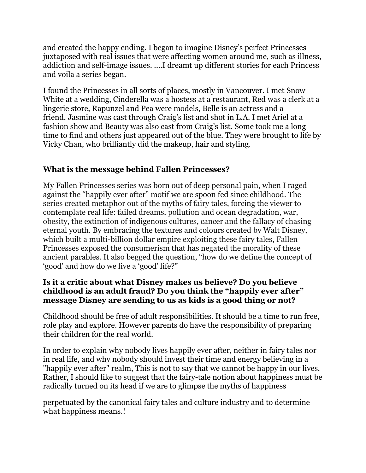and created the happy ending. I began to imagine Disney's perfect Princesses juxtaposed with real issues that were affecting women around me, such as illness, addiction and self-image issues. ....I dreamt up different stories for each Princess and voila a series began.

I found the Princesses in all sorts of places, mostly in Vancouver. I met Snow White at a wedding, Cinderella was a hostess at a restaurant, Red was a clerk at a lingerie store, Rapunzel and Pea were models, Belle is an actress and a friend. Jasmine was cast through Craig's list and shot in L.A. I met Ariel at a fashion show and Beauty was also cast from Craig's list. Some took me a long time to find and others just appeared out of the blue. They were brought to life by Vicky Chan, who brilliantly did the makeup, hair and styling.

## **What is the message behind Fallen Princesses?**

My Fallen Princesses series was born out of deep personal pain, when I raged against the "happily ever after" motif we are spoon fed since childhood. The series created metaphor out of the myths of fairy tales, forcing the viewer to contemplate real life: failed dreams, pollution and ocean degradation, war, obesity, the extinction of indigenous cultures, cancer and the fallacy of chasing eternal youth. By embracing the textures and colours created by Walt Disney, which built a multi-billion dollar empire exploiting these fairy tales, Fallen Princesses exposed the consumerism that has negated the morality of these ancient parables. It also begged the question, "how do we define the concept of 'good' and how do we live a 'good' life?"

## **Is it a critic about what Disney makes us believe? Do you believe childhood is an adult fraud? Do you think the "happily ever after" message Disney are sending to us as kids is a good thing or not?**

Childhood should be free of adult responsibilities. It should be a time to run free, role play and explore. However parents do have the responsibility of preparing their children for the real world.

In order to explain why nobody lives happily ever after, neither in fairy tales nor in real life, and why nobody should invest their time and energy believing in a "happily ever after" realm, This is not to say that we cannot be happy in our lives. Rather, I should like to suggest that the fairy-tale notion about happiness must be radically turned on its head if we are to glimpse the myths of happiness

perpetuated by the canonical fairy tales and culture industry and to determine what happiness means.!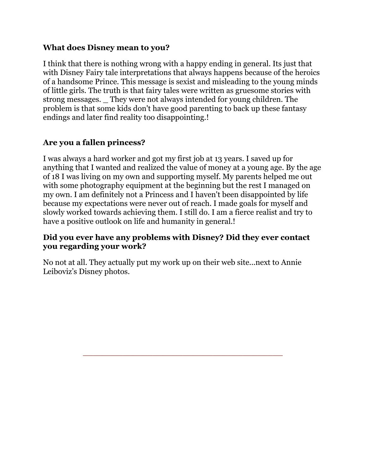#### **What does Disney mean to you?**

I think that there is nothing wrong with a happy ending in general. Its just that with Disney Fairy tale interpretations that always happens because of the heroics of a handsome Prince. This message is sexist and misleading to the young minds of little girls. The truth is that fairy tales were written as gruesome stories with strong messages. \_ They were not always intended for young children. The problem is that some kids don't have good parenting to back up these fantasy endings and later find reality too disappointing.!

## **Are you a fallen princess?**

I was always a hard worker and got my first job at 13 years. I saved up for anything that I wanted and realized the value of money at a young age. By the age of 18 I was living on my own and supporting myself. My parents helped me out with some photography equipment at the beginning but the rest I managed on my own. I am definitely not a Princess and I haven't been disappointed by life because my expectations were never out of reach. I made goals for myself and slowly worked towards achieving them. I still do. I am a fierce realist and try to have a positive outlook on life and humanity in general.!

#### **Did you ever have any problems with Disney? Did they ever contact you regarding your work?**

No not at all. They actually put my work up on their web site...next to Annie Leiboviz's Disney photos.

\_\_\_\_\_\_\_\_\_\_\_\_\_\_\_\_\_\_\_\_\_\_\_\_\_\_\_\_\_\_\_\_\_\_\_\_\_\_\_\_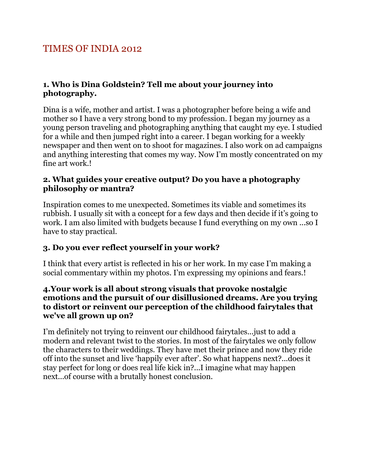# TIMES OF INDIA 2012

## **1. Who is Dina Goldstein? Tell me about your journey into photography.**

Dina is a wife, mother and artist. I was a photographer before being a wife and mother so I have a very strong bond to my profession. I began my journey as a young person traveling and photographing anything that caught my eye. I studied for a while and then jumped right into a career. I began working for a weekly newspaper and then went on to shoot for magazines. I also work on ad campaigns and anything interesting that comes my way. Now I'm mostly concentrated on my fine art work.!

## **2. What guides your creative output? Do you have a photography philosophy or mantra?**

Inspiration comes to me unexpected. Sometimes its viable and sometimes its rubbish. I usually sit with a concept for a few days and then decide if it's going to work. I am also limited with budgets because I fund everything on my own ...so I have to stay practical.

## **3. Do you ever reflect yourself in your work?**

I think that every artist is reflected in his or her work. In my case I'm making a social commentary within my photos. I'm expressing my opinions and fears.!

#### **4.Your work is all about strong visuals that provoke nostalgic emotions and the pursuit of our disillusioned dreams. Are you trying to distort or reinvent our perception of the childhood fairytales that we've all grown up on?**

I'm definitely not trying to reinvent our childhood fairytales...just to add a modern and relevant twist to the stories. In most of the fairytales we only follow the characters to their weddings. They have met their prince and now they ride off into the sunset and live 'happily ever after'. So what happens next?...does it stay perfect for long or does real life kick in?...I imagine what may happen next...of course with a brutally honest conclusion.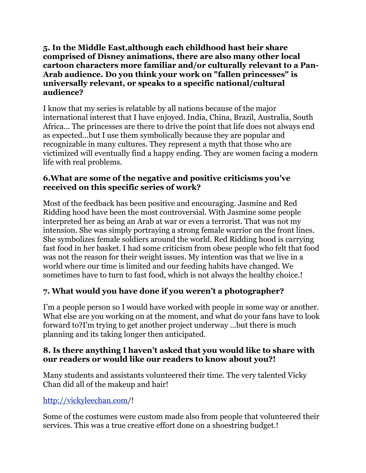#### **5. In the Middle East,although each childhood hast heir share comprised of Disney animations, there are also many other local cartoon characters more familiar and/or culturally relevant to a Pan-Arab audience. Do you think your work on "fallen princesses" is universally relevant, or speaks to a specific national/cultural audience?**

I know that my series is relatable by all nations because of the major international interest that I have enjoyed. India, China, Brazil, Australia, South Africa... The princesses are there to drive the point that life does not always end as expected...but I use them symbolically because they are popular and recognizable in many cultures. They represent a myth that those who are victimized will eventually find a happy ending. They are women facing a modern life with real problems.

### **6.What are some of the negative and positive criticisms you've received on this specific series of work?**

Most of the feedback has been positive and encouraging. Jasmine and Red Ridding hood have been the most controversial. With Jasmine some people interpreted her as being an Arab at war or even a terrorist. That was not my intension. She was simply portraying a strong female warrior on the front lines. She symbolizes female soldiers around the world. Red Ridding hood is carrying fast food in her basket. I had some criticism from obese people who felt that food was not the reason for their weight issues. My intention was that we live in a world where our time is limited and our feeding habits have changed. We sometimes have to turn to fast food, which is not always the healthy choice.!

## **7. What would you have done if you weren't a photographer?**

I'm a people person so I would have worked with people in some way or another. What else are you working on at the moment, and what do your fans have to look forward to?I'm trying to get another project underway ...but there is much planning and its taking longer then anticipated.

## **8. Is there anything I haven't asked that you would like to share with our readers or would like our readers to know about you?!**

Many students and assistants volunteered their time. The very talented Vicky Chan did all of the makeup and hair!

## [http://vickyleechan.com/](http://vickyleechan.com)!

Some of the costumes were custom made also from people that volunteered their services. This was a true creative effort done on a shoestring budget.!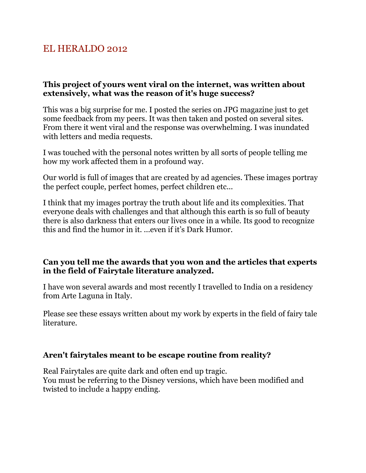# EL HERALDO 2012

#### **This project of yours went viral on the internet, was written about extensively, what was the reason of it's huge success?**

This was a big surprise for me. I posted the series on JPG magazine just to get some feedback from my peers. It was then taken and posted on several sites. From there it went viral and the response was overwhelming. I was inundated with letters and media requests.

I was touched with the personal notes written by all sorts of people telling me how my work affected them in a profound way.

Our world is full of images that are created by ad agencies. These images portray the perfect couple, perfect homes, perfect children etc...

I think that my images portray the truth about life and its complexities. That everyone deals with challenges and that although this earth is so full of beauty there is also darkness that enters our lives once in a while. Its good to recognize this and find the humor in it. ...even if it's Dark Humor.

#### **Can you tell me the awards that you won and the articles that experts in the field of Fairytale literature analyzed.**

I have won several awards and most recently I travelled to India on a residency from Arte Laguna in Italy.

Please see these essays written about my work by experts in the field of fairy tale literature.

#### **Aren't fairytales meant to be escape routine from reality?**

Real Fairytales are quite dark and often end up tragic. You must be referring to the Disney versions, which have been modified and twisted to include a happy ending.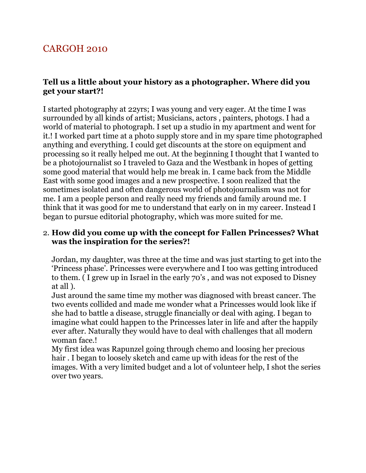# CARGOH 2010

#### **Tell us a little about your history as a photographer. Where did you get your start?!**

I started photography at 22yrs; I was young and very eager. At the time I was surrounded by all kinds of artist; Musicians, actors , painters, photogs. I had a world of material to photograph. I set up a studio in my apartment and went for it.! I worked part time at a photo supply store and in my spare time photographed anything and everything. I could get discounts at the store on equipment and processing so it really helped me out. At the beginning I thought that I wanted to be a photojournalist so I traveled to Gaza and the Westbank in hopes of getting some good material that would help me break in. I came back from the Middle East with some good images and a new prospective. I soon realized that the sometimes isolated and often dangerous world of photojournalism was not for me. I am a people person and really need my friends and family around me. I think that it was good for me to understand that early on in my career. Instead I began to pursue editorial photography, which was more suited for me.

#### 2. **How did you come up with the concept for Fallen Princesses? What was the inspiration for the series?!**

Jordan, my daughter, was three at the time and was just starting to get into the 'Princess phase'. Princesses were everywhere and I too was getting introduced to them. ( I grew up in Israel in the early 70's , and was not exposed to Disney at all ).

Just around the same time my mother was diagnosed with breast cancer. The two events collided and made me wonder what a Princesses would look like if she had to battle a disease, struggle financially or deal with aging. I began to imagine what could happen to the Princesses later in life and after the happily ever after. Naturally they would have to deal with challenges that all modern woman face.!

My first idea was Rapunzel going through chemo and loosing her precious hair . I began to loosely sketch and came up with ideas for the rest of the images. With a very limited budget and a lot of volunteer help, I shot the series over two years.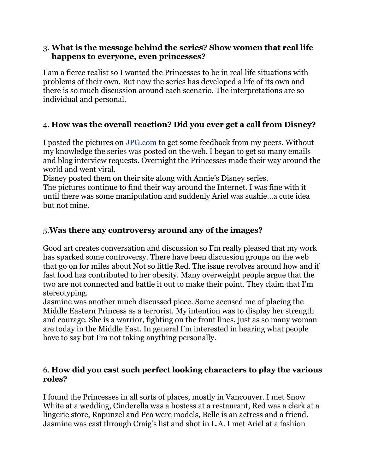#### 3. **What is the message behind the series? Show women that real life happens to everyone, even princesses?**

I am a fierce realist so I wanted the Princesses to be in real life situations with problems of their own. But now the series has developed a life of its own and there is so much discussion around each scenario. The interpretations are so individual and personal.

## 4. **How was the overall reaction? Did you ever get a call from Disney?**

I posted the pictures on JPG.com to get some feedback from my peers. Without my knowledge the series was posted on the web. I began to get so many emails and blog interview requests. Overnight the Princesses made their way around the world and went viral.

Disney posted them on their site along with Annie's Disney series.

The pictures continue to find their way around the Internet. I was fine with it until there was some manipulation and suddenly Ariel was sushie...a cute idea but not mine.

## 5.**Was there any controversy around any of the images?**

Good art creates conversation and discussion so I'm really pleased that my work has sparked some controversy. There have been discussion groups on the web that go on for miles about Not so little Red. The issue revolves around how and if fast food has contributed to her obesity. Many overweight people argue that the two are not connected and battle it out to make their point. They claim that I'm stereotyping.

Jasmine was another much discussed piece. Some accused me of placing the Middle Eastern Princess as a terrorist. My intention was to display her strength and courage. She is a warrior, fighting on the front lines, just as so many woman are today in the Middle East. In general I'm interested in hearing what people have to say but I'm not taking anything personally.

## 6. **How did you cast such perfect looking characters to play the various roles?**

I found the Princesses in all sorts of places, mostly in Vancouver. I met Snow White at a wedding, Cinderella was a hostess at a restaurant, Red was a clerk at a lingerie store, Rapunzel and Pea were models, Belle is an actress and a friend. Jasmine was cast through Craig's list and shot in L.A. I met Ariel at a fashion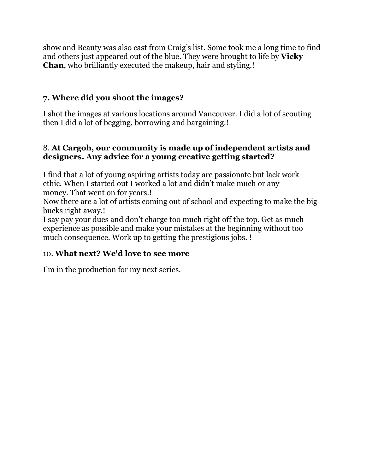show and Beauty was also cast from Craig's list. Some took me a long time to find and others just appeared out of the blue. They were brought to life by **Vicky Chan**, who brilliantly executed the makeup, hair and styling.!

## **7. Where did you shoot the images?**

I shot the images at various locations around Vancouver. I did a lot of scouting then I did a lot of begging, borrowing and bargaining.!

### 8. **At Cargoh, our community is made up of independent artists and designers. Any advice for a young creative getting started?**

I find that a lot of young aspiring artists today are passionate but lack work ethic. When I started out I worked a lot and didn't make much or any money. That went on for years.!

Now there are a lot of artists coming out of school and expecting to make the big bucks right away.!

I say pay your dues and don't charge too much right off the top. Get as much experience as possible and make your mistakes at the beginning without too much consequence. Work up to getting the prestigious jobs. !

## 10. **What next? We'd love to see more**

I'm in the production for my next series.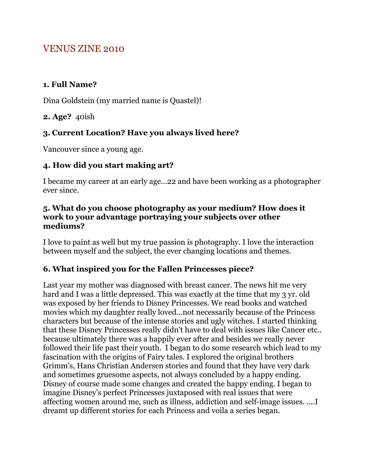# VENUS ZINE 2010

### **1. Full Name?**

Dina Goldstein (my married name is Quastel)!

### **2. Age?** 40ish

## **3. Current Location? Have you always lived here?**

Vancouver since a young age.

## **4. How did you start making art?**

I became my career at an early age...22 and have been working as a photographer ever since.

#### **5. What do you choose photography as your medium? How does it work to your advantage portraying your subjects over other mediums?**

I love to paint as well but my true passion is photography. I love the interaction between myself and the subject, the ever changing locations and themes.

## **6. What inspired you for the Fallen Princesses piece?**

Last year my mother was diagnosed with breast cancer. The news hit me very hard and I was a little depressed. This was exactly at the time that my 3 yr. old was exposed by her friends to Disney Princesses. We read books and watched movies which my daughter really loved...not necessarily because of the Princess characters but because of the intense stories and ugly witches. I started thinking that these Disney Princesses really didn't have to deal with issues like Cancer etc.. because ultimately there was a happily ever after and besides we really never followed their life past their youth. I began to do some research which lead to my fascination with the origins of Fairy tales. I explored the original brothers Grimm's, Hans Christian Andersen stories and found that they have very dark and sometimes gruesome aspects, not always concluded by a happy ending. Disney of course made some changes and created the happy ending. I began to imagine Disney's perfect Princesses juxtaposed with real issues that were affecting women around me, such as illness, addiction and self-image issues. ....I dreamt up different stories for each Princess and voila a series began.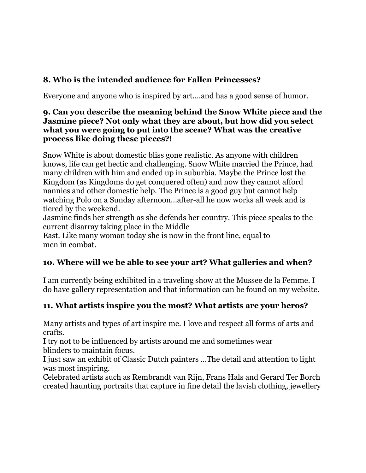## **8. Who is the intended audience for Fallen Princesses?**

Everyone and anyone who is inspired by art....and has a good sense of humor.

#### **9. Can you describe the meaning behind the Snow White piece and the Jasmine piece? Not only what they are about, but how did you select what you were going to put into the scene? What was the creative process like doing these pieces?**!

Snow White is about domestic bliss gone realistic. As anyone with children knows, life can get hectic and challenging. Snow White married the Prince, had many children with him and ended up in suburbia. Maybe the Prince lost the Kingdom (as Kingdoms do get conquered often) and now they cannot afford nannies and other domestic help. The Prince is a good guy but cannot help watching Polo on a Sunday afternoon...after-all he now works all week and is tiered by the weekend.

Jasmine finds her strength as she defends her country. This piece speaks to the current disarray taking place in the Middle

East. Like many woman today she is now in the front line, equal to men in combat.

## **10. Where will we be able to see your art? What galleries and when?**

I am currently being exhibited in a traveling show at the Mussee de la Femme. I do have gallery representation and that information can be found on my website.

## **11. What artists inspire you the most? What artists are your heros?**

Many artists and types of art inspire me. I love and respect all forms of arts and crafts.

I try not to be influenced by artists around me and sometimes wear blinders to maintain focus.

I just saw an exhibit of Classic Dutch painters ...The detail and attention to light was most inspiring.

Celebrated artists such as Rembrandt van Rijn, Frans Hals and Gerard Ter Borch created haunting portraits that capture in fine detail the lavish clothing, jewellery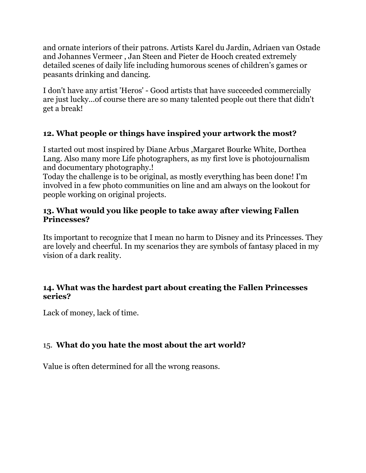and ornate interiors of their patrons. Artists Karel du Jardin, Adriaen van Ostade and Johannes Vermeer , Jan Steen and Pieter de Hooch created extremely detailed scenes of daily life including humorous scenes of children's games or peasants drinking and dancing.

I don't have any artist 'Heros' - Good artists that have succeeded commercially are just lucky...of course there are so many talented people out there that didn't get a break!

## **12. What people or things have inspired your artwork the most?**

I started out most inspired by Diane Arbus ,Margaret Bourke White, Dorthea Lang. Also many more Life photographers, as my first love is photojournalism and documentary photography.!

Today the challenge is to be original, as mostly everything has been done! I'm involved in a few photo communities on line and am always on the lookout for people working on original projects.

## **13. What would you like people to take away after viewing Fallen Princesses?**

Its important to recognize that I mean no harm to Disney and its Princesses. They are lovely and cheerful. In my scenarios they are symbols of fantasy placed in my vision of a dark reality.

## **14. What was the hardest part about creating the Fallen Princesses series?**

Lack of money, lack of time.

## 15. **What do you hate the most about the art world?**

Value is often determined for all the wrong reasons.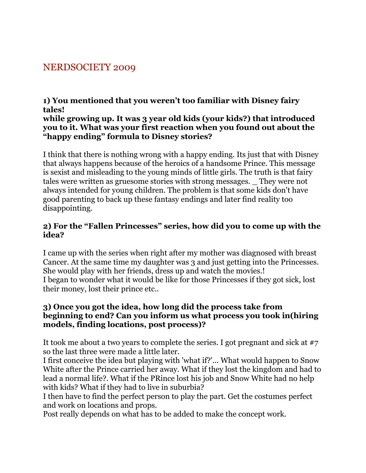# NERDSOCIETY 2009

#### **1) You mentioned that you weren't too familiar with Disney fairy tales! while growing up. It was 3 year old kids (your kids?) that introduced you to it. What was your first reaction when you found out about the "happy ending" formula to Disney stories?**

I think that there is nothing wrong with a happy ending. Its just that with Disney that always happens because of the heroics of a handsome Prince. This message is sexist and misleading to the young minds of little girls. The truth is that fairy tales were written as gruesome stories with strong messages. \_ They were not always intended for young children. The problem is that some kids don't have good parenting to back up these fantasy endings and later find reality too disappointing.

## **2) For the "Fallen Princesses" series, how did you to come up with the idea?**

I came up with the series when right after my mother was diagnosed with breast Cancer. At the same time my daughter was 3 and just getting into the Princesses. She would play with her friends, dress up and watch the movies.! I began to wonder what it would be like for those Princesses if they got sick, lost their money, lost their prince etc..

#### **3) Once you got the idea, how long did the process take from beginning to end? Can you inform us what process you took in(hiring models, finding locations, post process)?**

It took me about a two years to complete the series. I got pregnant and sick at #7 so the last three were made a little later.

I first conceive the idea but playing with 'what if?'... What would happen to Snow White after the Prince carried her away. What if they lost the kingdom and had to lead a normal life?. What if the PRince lost his job and Snow White had no help with kids? What if they had to live in suburbia?

I then have to find the perfect person to play the part. Get the costumes perfect and work on locations and props.

Post really depends on what has to be added to make the concept work.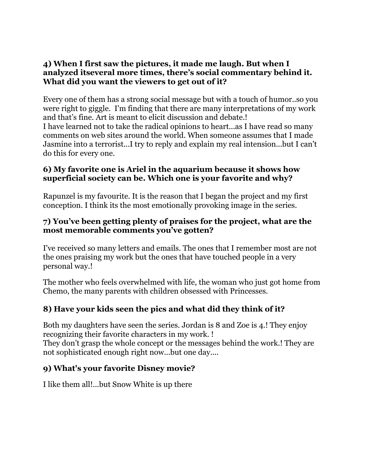#### **4) When I first saw the pictures, it made me laugh. But when I analyzed itseveral more times, there's social commentary behind it. What did you want the viewers to get out of it?**

Every one of them has a strong social message but with a touch of humor..so you were right to giggle. I'm finding that there are many interpretations of my work and that's fine. Art is meant to elicit discussion and debate.! I have learned not to take the radical opinions to heart...as I have read so many comments on web sites around the world. When someone assumes that I made Jasmine into a terrorist...I try to reply and explain my real intension...but I can't do this for every one.

#### **6) My favorite one is Ariel in the aquarium because it shows how superficial society can be. Which one is your favorite and why?**

Rapunzel is my favourite. It is the reason that I began the project and my first conception. I think its the most emotionally provoking image in the series.

### **7) You've been getting plenty of praises for the project, what are the most memorable comments you've gotten?**

I've received so many letters and emails. The ones that I remember most are not the ones praising my work but the ones that have touched people in a very personal way.!

The mother who feels overwhelmed with life, the woman who just got home from Chemo, the many parents with children obsessed with Princesses.

## **8) Have your kids seen the pics and what did they think of it?**

Both my daughters have seen the series. Jordan is 8 and Zoe is 4.! They enjoy recognizing their favorite characters in my work. !

They don't grasp the whole concept or the messages behind the work.! They are not sophisticated enough right now...but one day....

## **9) What's your favorite Disney movie?**

I like them all!...but Snow White is up there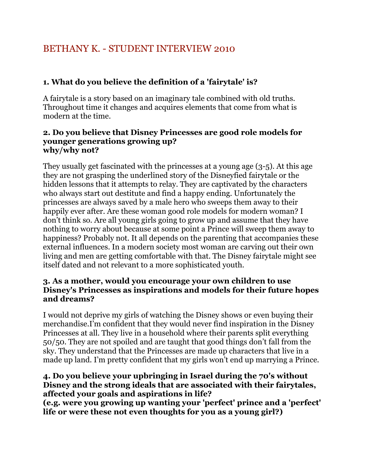# BETHANY K. - STUDENT INTERVIEW 2010

## **1. What do you believe the definition of a 'fairytale' is?**

A fairytale is a story based on an imaginary tale combined with old truths. Throughout time it changes and acquires elements that come from what is modern at the time.

#### **2. Do you believe that Disney Princesses are good role models for younger generations growing up? why/why not?**

They usually get fascinated with the princesses at a young age (3-5). At this age they are not grasping the underlined story of the Disneyfied fairytale or the hidden lessons that it attempts to relay. They are captivated by the characters who always start out destitute and find a happy ending. Unfortunately the princesses are always saved by a male hero who sweeps them away to their happily ever after. Are these woman good role models for modern woman? I don't think so. Are all young girls going to grow up and assume that they have nothing to worry about because at some point a Prince will sweep them away to happiness? Probably not. It all depends on the parenting that accompanies these external influences. In a modern society most woman are carving out their own living and men are getting comfortable with that. The Disney fairytale might see itself dated and not relevant to a more sophisticated youth.

## **3. As a mother, would you encourage your own children to use Disney's Princesses as inspirations and models for their future hopes and dreams?**

I would not deprive my girls of watching the Disney shows or even buying their merchandise.I'm confident that they would never find inspiration in the Disney Princesses at all. They live in a household where their parents split everything 50/50. They are not spoiled and are taught that good things don't fall from the sky. They understand that the Princesses are made up characters that live in a made up land. I'm pretty confident that my girls won't end up marrying a Prince.

## **4. Do you believe your upbringing in Israel during the 70's without Disney and the strong ideals that are associated with their fairytales, affected your goals and aspirations in life?**

**(e.g. were you growing up wanting your 'perfect' prince and a 'perfect' life or were these not even thoughts for you as a young girl?)**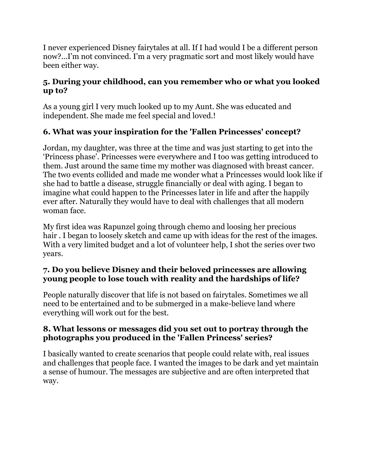I never experienced Disney fairytales at all. If I had would I be a different person now?...I'm not convinced. I'm a very pragmatic sort and most likely would have been either way.

## **5. During your childhood, can you remember who or what you looked up to?**

As a young girl I very much looked up to my Aunt. She was educated and independent. She made me feel special and loved.!

## **6. What was your inspiration for the 'Fallen Princesses' concept?**

Jordan, my daughter, was three at the time and was just starting to get into the 'Princess phase'. Princesses were everywhere and I too was getting introduced to them. Just around the same time my mother was diagnosed with breast cancer. The two events collided and made me wonder what a Princesses would look like if she had to battle a disease, struggle financially or deal with aging. I began to imagine what could happen to the Princesses later in life and after the happily ever after. Naturally they would have to deal with challenges that all modern woman face.

My first idea was Rapunzel going through chemo and loosing her precious hair. I began to loosely sketch and came up with ideas for the rest of the images. With a very limited budget and a lot of volunteer help, I shot the series over two years.

## **7. Do you believe Disney and their beloved princesses are allowing young people to lose touch with reality and the hardships of life?**

People naturally discover that life is not based on fairytales. Sometimes we all need to be entertained and to be submerged in a make-believe land where everything will work out for the best.

## **8. What lessons or messages did you set out to portray through the photographs you produced in the 'Fallen Princess' series?**

I basically wanted to create scenarios that people could relate with, real issues and challenges that people face. I wanted the images to be dark and yet maintain a sense of humour. The messages are subjective and are often interpreted that way.